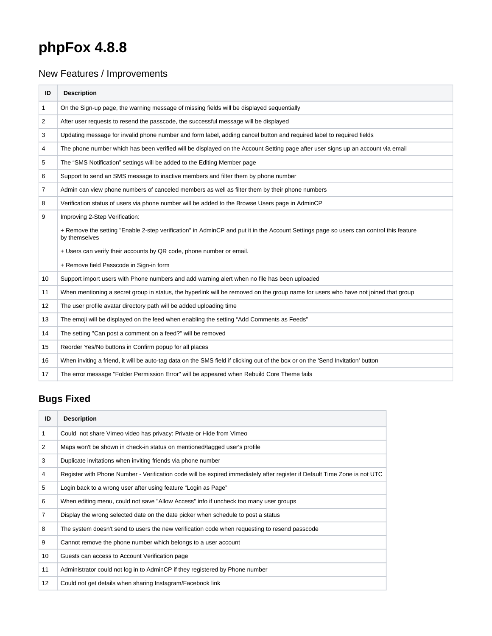## **phpFox 4.8.8**

## New Features / Improvements

| ID | <b>Description</b>                                                                                                                                      |
|----|---------------------------------------------------------------------------------------------------------------------------------------------------------|
| 1  | On the Sign-up page, the warning message of missing fields will be displayed sequentially                                                               |
| 2  | After user requests to resend the passcode, the successful message will be displayed                                                                    |
| 3  | Updating message for invalid phone number and form label, adding cancel button and required label to required fields                                    |
| 4  | The phone number which has been verified will be displayed on the Account Setting page after user signs up an account via email                         |
| 5  | The "SMS Notification" settings will be added to the Editing Member page                                                                                |
| 6  | Support to send an SMS message to inactive members and filter them by phone number                                                                      |
| 7  | Admin can view phone numbers of canceled members as well as filter them by their phone numbers                                                          |
| 8  | Verification status of users via phone number will be added to the Browse Users page in AdminCP                                                         |
| 9  | Improving 2-Step Verification:                                                                                                                          |
|    | + Remove the setting "Enable 2-step verification" in AdminCP and put it in the Account Settings page so users can control this feature<br>by themselves |
|    | + Users can verify their accounts by QR code, phone number or email.                                                                                    |
|    | + Remove field Passcode in Sign-in form                                                                                                                 |
| 10 | Support import users with Phone numbers and add warning alert when no file has been uploaded                                                            |
| 11 | When mentioning a secret group in status, the hyperlink will be removed on the group name for users who have not joined that group                      |
| 12 | The user profile avatar directory path will be added uploading time                                                                                     |
| 13 | The emoji will be displayed on the feed when enabling the setting "Add Comments as Feeds"                                                               |
| 14 | The setting "Can post a comment on a feed?" will be removed                                                                                             |
| 15 | Reorder Yes/No buttons in Confirm popup for all places                                                                                                  |
| 16 | When inviting a friend, it will be auto-tag data on the SMS field if clicking out of the box or on the 'Send Invitation' button                         |
| 17 | The error message "Folder Permission Error" will be appeared when Rebuild Core Theme fails                                                              |

## **Bugs Fixed**

| ID             | <b>Description</b>                                                                                                        |
|----------------|---------------------------------------------------------------------------------------------------------------------------|
| 1              | Could not share Vimeo video has privacy: Private or Hide from Vimeo                                                       |
| $\overline{2}$ | Maps won't be shown in check-in status on mentioned/tagged user's profile                                                 |
| 3              | Duplicate invitations when inviting friends via phone number                                                              |
| 4              | Register with Phone Number - Verification code will be expired immediately after register if Default Time Zone is not UTC |
| 5              | Login back to a wrong user after using feature "Login as Page"                                                            |
| 6              | When editing menu, could not save "Allow Access" info if uncheck too many user groups                                     |
| $\overline{7}$ | Display the wrong selected date on the date picker when schedule to post a status                                         |
| 8              | The system doesn't send to users the new verification code when requesting to resend passcode                             |
| 9              | Cannot remove the phone number which belongs to a user account                                                            |
| 10             | Guests can access to Account Verification page                                                                            |
| 11             | Administrator could not log in to AdminCP if they registered by Phone number                                              |
| 12             | Could not get details when sharing Instagram/Facebook link                                                                |